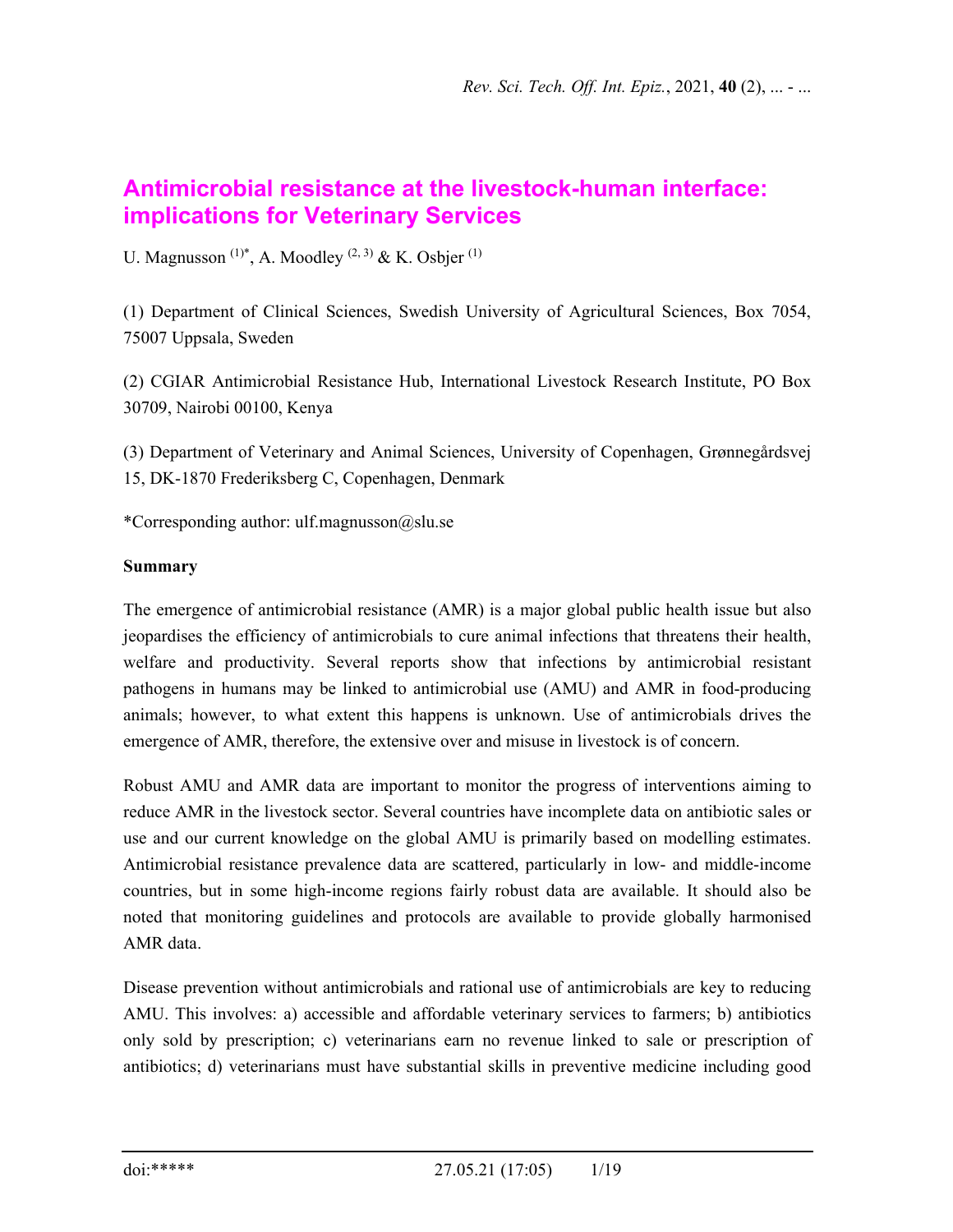# **Antimicrobial resistance at the livestock-human interface: implications for Veterinary Services**

U. Magnusson<sup>(1)\*</sup>, A. Moodley<sup>(2, 3)</sup> & K. Osbjer<sup>(1)</sup>

(1) Department of Clinical Sciences, Swedish University of Agricultural Sciences, Box 7054, 75007 Uppsala, Sweden

(2) CGIAR Antimicrobial Resistance Hub, International Livestock Research Institute, PO Box 30709, Nairobi 00100, Kenya

(3) Department of Veterinary and Animal Sciences, University of Copenhagen, Grønnegårdsvej 15, DK-1870 Frederiksberg C, Copenhagen, Denmark

\*Corresponding author: ulf.magnusson@slu.se

## **Summary**

The emergence of antimicrobial resistance (AMR) is a major global public health issue but also jeopardises the efficiency of antimicrobials to cure animal infections that threatens their health, welfare and productivity. Several reports show that infections by antimicrobial resistant pathogens in humans may be linked to antimicrobial use (AMU) and AMR in food-producing animals; however, to what extent this happens is unknown. Use of antimicrobials drives the emergence of AMR, therefore, the extensive over and misuse in livestock is of concern.

Robust AMU and AMR data are important to monitor the progress of interventions aiming to reduce AMR in the livestock sector. Several countries have incomplete data on antibiotic sales or use and our current knowledge on the global AMU is primarily based on modelling estimates. Antimicrobial resistance prevalence data are scattered, particularly in low- and middle-income countries, but in some high-income regions fairly robust data are available. It should also be noted that monitoring guidelines and protocols are available to provide globally harmonised AMR data.

Disease prevention without antimicrobials and rational use of antimicrobials are key to reducing AMU. This involves: a) accessible and affordable veterinary services to farmers; b) antibiotics only sold by prescription; c) veterinarians earn no revenue linked to sale or prescription of antibiotics; d) veterinarians must have substantial skills in preventive medicine including good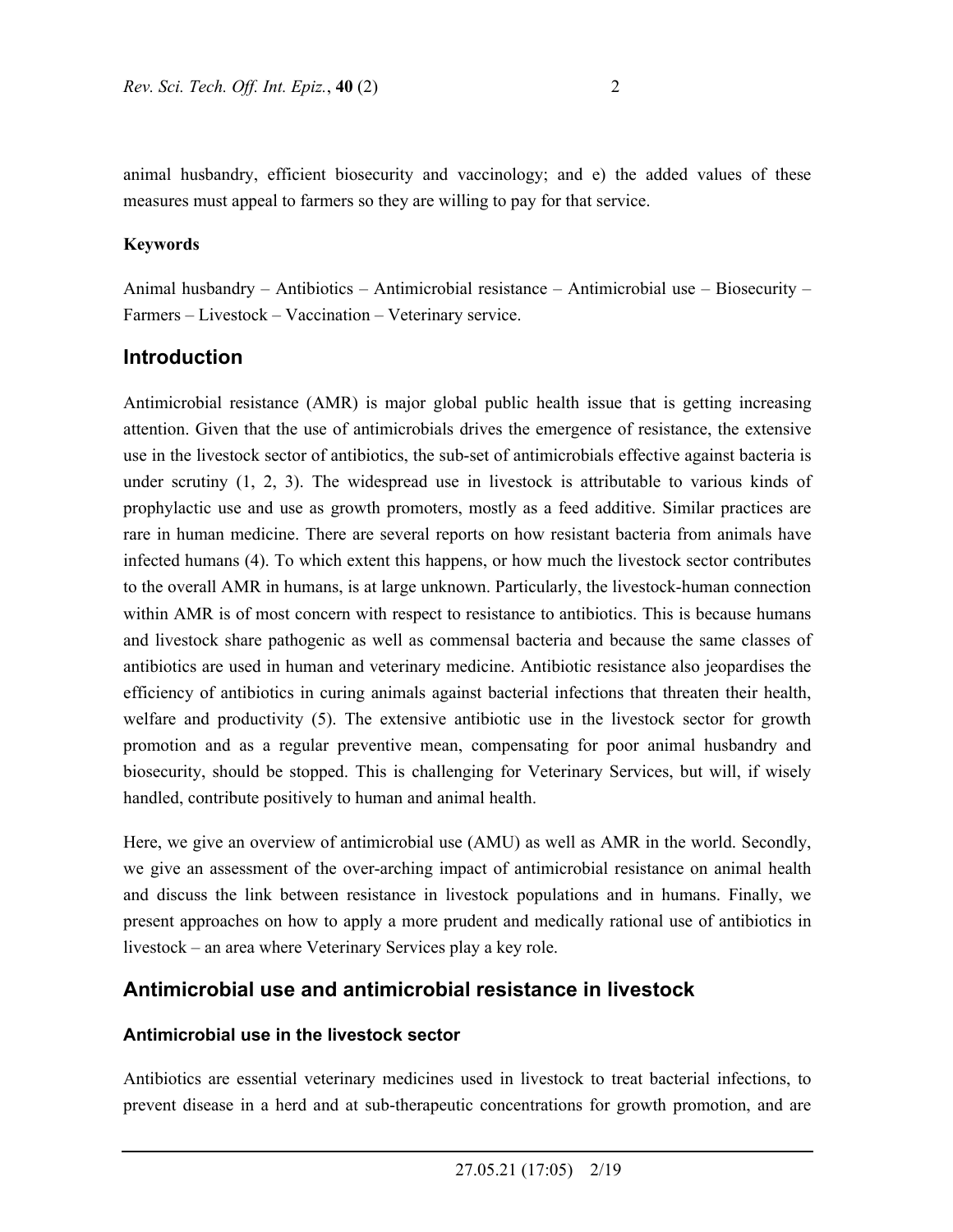animal husbandry, efficient biosecurity and vaccinology; and e) the added values of these measures must appeal to farmers so they are willing to pay for that service.

### **Keywords**

Animal husbandry – Antibiotics – Antimicrobial resistance – Antimicrobial use – Biosecurity – Farmers – Livestock – Vaccination – Veterinary service.

## **Introduction**

Antimicrobial resistance (AMR) is major global public health issue that is getting increasing attention. Given that the use of antimicrobials drives the emergence of resistance, the extensive use in the livestock sector of antibiotics, the sub-set of antimicrobials effective against bacteria is under scrutiny (1, 2, 3). The widespread use in livestock is attributable to various kinds of prophylactic use and use as growth promoters, mostly as a feed additive. Similar practices are rare in human medicine. There are several reports on how resistant bacteria from animals have infected humans (4). To which extent this happens, or how much the livestock sector contributes to the overall AMR in humans, is at large unknown. Particularly, the livestock-human connection within AMR is of most concern with respect to resistance to antibiotics. This is because humans and livestock share pathogenic as well as commensal bacteria and because the same classes of antibiotics are used in human and veterinary medicine. Antibiotic resistance also jeopardises the efficiency of antibiotics in curing animals against bacterial infections that threaten their health, welfare and productivity (5). The extensive antibiotic use in the livestock sector for growth promotion and as a regular preventive mean, compensating for poor animal husbandry and biosecurity, should be stopped. This is challenging for Veterinary Services, but will, if wisely handled, contribute positively to human and animal health.

Here, we give an overview of antimicrobial use (AMU) as well as AMR in the world. Secondly, we give an assessment of the over-arching impact of antimicrobial resistance on animal health and discuss the link between resistance in livestock populations and in humans. Finally, we present approaches on how to apply a more prudent and medically rational use of antibiotics in livestock – an area where Veterinary Services play a key role.

# **Antimicrobial use and antimicrobial resistance in livestock**

#### **Antimicrobial use in the livestock sector**

Antibiotics are essential veterinary medicines used in livestock to treat bacterial infections, to prevent disease in a herd and at sub-therapeutic concentrations for growth promotion, and are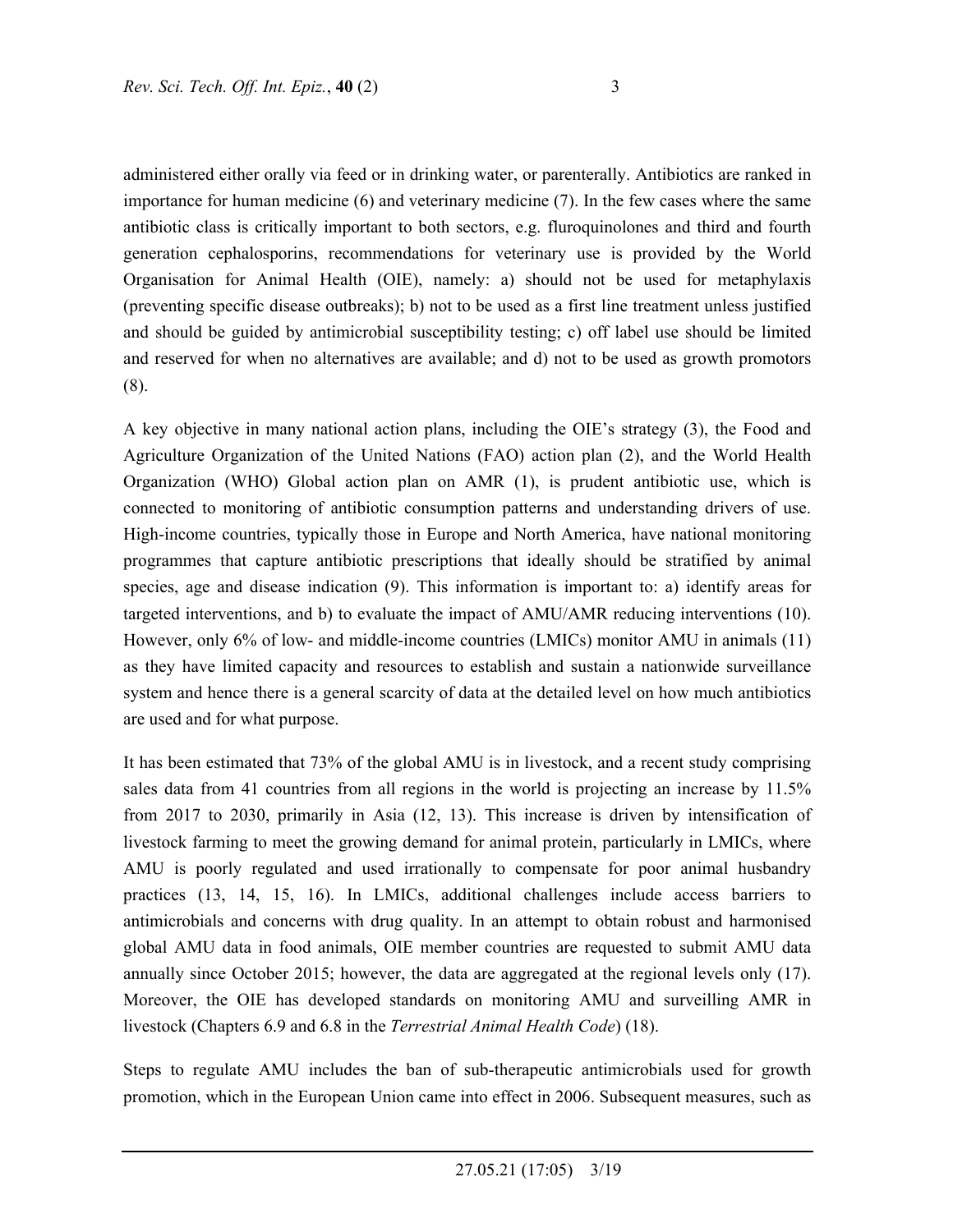administered either orally via feed or in drinking water, or parenterally. Antibiotics are ranked in importance for human medicine (6) and veterinary medicine (7). In the few cases where the same antibiotic class is critically important to both sectors, e.g. fluroquinolones and third and fourth generation cephalosporins, recommendations for veterinary use is provided by the World Organisation for Animal Health (OIE), namely: a) should not be used for metaphylaxis (preventing specific disease outbreaks); b) not to be used as a first line treatment unless justified and should be guided by antimicrobial susceptibility testing; c) off label use should be limited and reserved for when no alternatives are available; and d) not to be used as growth promotors (8).

A key objective in many national action plans, including the OIE's strategy (3), the Food and Agriculture Organization of the United Nations (FAO) action plan (2), and the World Health Organization (WHO) Global action plan on AMR (1), is prudent antibiotic use, which is connected to monitoring of antibiotic consumption patterns and understanding drivers of use. High-income countries, typically those in Europe and North America, have national monitoring programmes that capture antibiotic prescriptions that ideally should be stratified by animal species, age and disease indication (9). This information is important to: a) identify areas for targeted interventions, and b) to evaluate the impact of AMU/AMR reducing interventions (10). However, only 6% of low- and middle-income countries (LMICs) monitor AMU in animals (11) as they have limited capacity and resources to establish and sustain a nationwide surveillance system and hence there is a general scarcity of data at the detailed level on how much antibiotics are used and for what purpose.

It has been estimated that 73% of the global AMU is in livestock, and a recent study comprising sales data from 41 countries from all regions in the world is projecting an increase by 11.5% from 2017 to 2030, primarily in Asia (12, 13). This increase is driven by intensification of livestock farming to meet the growing demand for animal protein, particularly in LMICs, where AMU is poorly regulated and used irrationally to compensate for poor animal husbandry practices (13, 14, 15, 16). In LMICs, additional challenges include access barriers to antimicrobials and concerns with drug quality. In an attempt to obtain robust and harmonised global AMU data in food animals, OIE member countries are requested to submit AMU data annually since October 2015; however, the data are aggregated at the regional levels only (17). Moreover, the OIE has developed standards on monitoring AMU and surveilling AMR in livestock (Chapters 6.9 and 6.8 in the *Terrestrial Animal Health Code*) (18).

Steps to regulate AMU includes the ban of sub-therapeutic antimicrobials used for growth promotion, which in the European Union came into effect in 2006. Subsequent measures, such as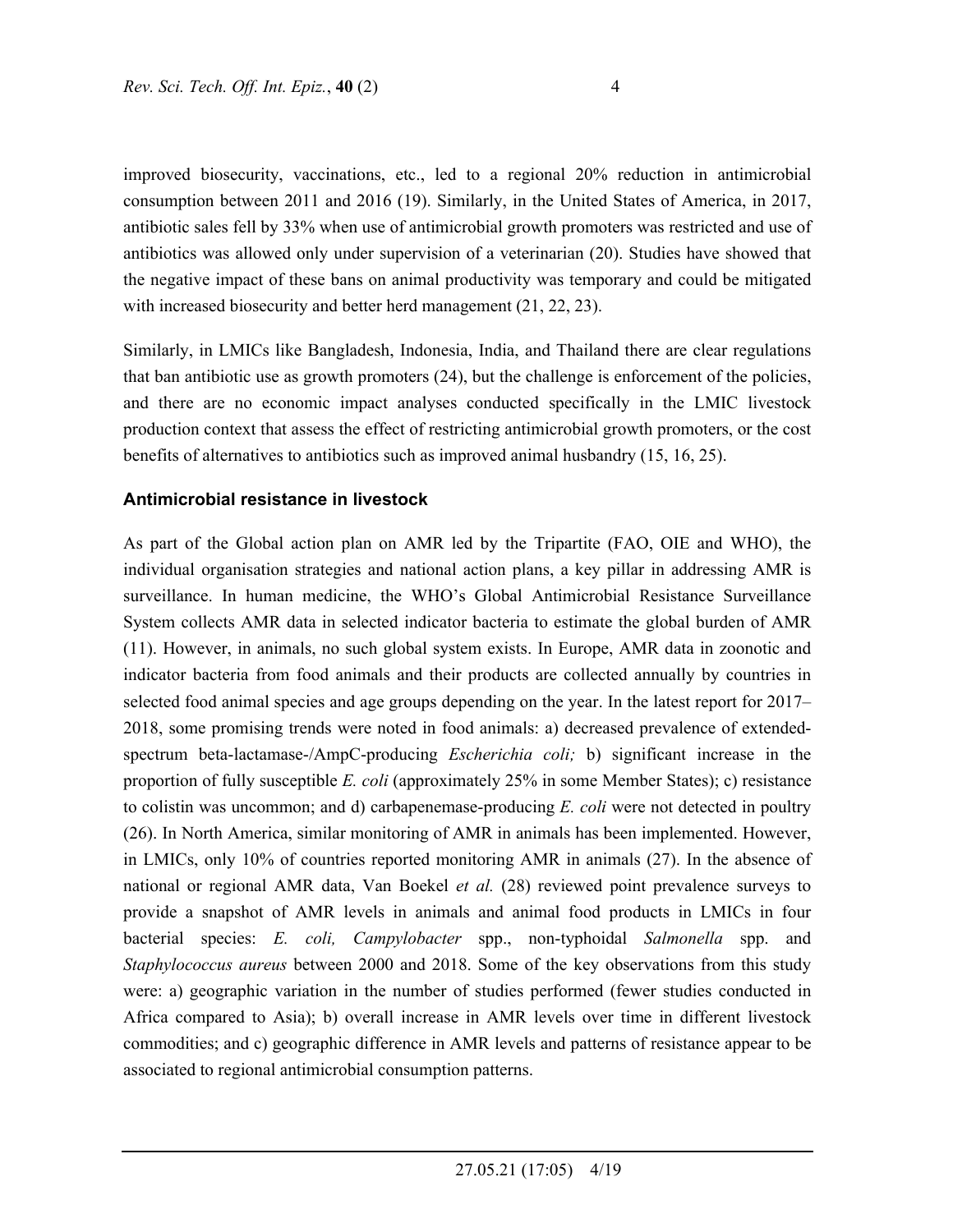improved biosecurity, vaccinations, etc., led to a regional 20% reduction in antimicrobial consumption between 2011 and 2016 (19). Similarly, in the United States of America, in 2017, antibiotic sales fell by 33% when use of antimicrobial growth promoters was restricted and use of antibiotics was allowed only under supervision of a veterinarian (20). Studies have showed that the negative impact of these bans on animal productivity was temporary and could be mitigated with increased biosecurity and better herd management (21, 22, 23).

Similarly, in LMICs like Bangladesh, Indonesia, India, and Thailand there are clear regulations that ban antibiotic use as growth promoters (24), but the challenge is enforcement of the policies, and there are no economic impact analyses conducted specifically in the LMIC livestock production context that assess the effect of restricting antimicrobial growth promoters, or the cost benefits of alternatives to antibiotics such as improved animal husbandry (15, 16, 25).

### **Antimicrobial resistance in livestock**

As part of the Global action plan on AMR led by the Tripartite (FAO, OIE and WHO), the individual organisation strategies and national action plans, a key pillar in addressing AMR is surveillance. In human medicine, the WHO's Global Antimicrobial Resistance Surveillance System collects AMR data in selected indicator bacteria to estimate the global burden of AMR (11). However, in animals, no such global system exists. In Europe, AMR data in zoonotic and indicator bacteria from food animals and their products are collected annually by countries in selected food animal species and age groups depending on the year. In the latest report for 2017– 2018, some promising trends were noted in food animals: a) decreased prevalence of extendedspectrum beta-lactamase-/AmpC-producing *Escherichia coli;* b) significant increase in the proportion of fully susceptible *E. coli* (approximately 25% in some Member States); c) resistance to colistin was uncommon; and d) carbapenemase-producing *E. coli* were not detected in poultry (26). In North America, similar monitoring of AMR in animals has been implemented. However, in LMICs, only 10% of countries reported monitoring AMR in animals (27). In the absence of national or regional AMR data, Van Boekel *et al.* (28) reviewed point prevalence surveys to provide a snapshot of AMR levels in animals and animal food products in LMICs in four bacterial species: *E. coli, Campylobacter* spp., non-typhoidal *Salmonella* spp. and *Staphylococcus aureus* between 2000 and 2018. Some of the key observations from this study were: a) geographic variation in the number of studies performed (fewer studies conducted in Africa compared to Asia); b) overall increase in AMR levels over time in different livestock commodities; and c) geographic difference in AMR levels and patterns of resistance appear to be associated to regional antimicrobial consumption patterns.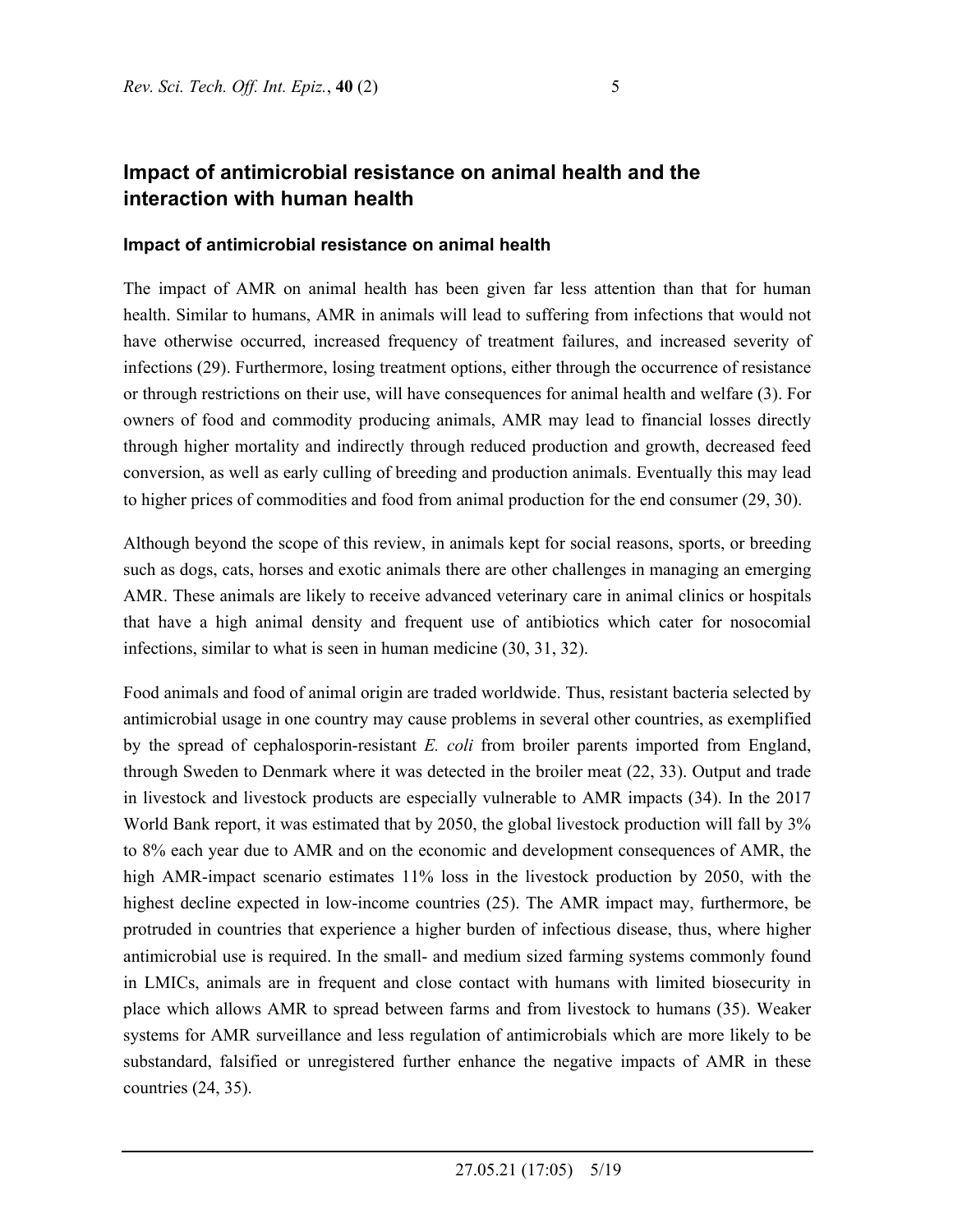# **Impact of antimicrobial resistance on animal health and the interaction with human health**

## **Impact of antimicrobial resistance on animal health**

The impact of AMR on animal health has been given far less attention than that for human health. Similar to humans, AMR in animals will lead to suffering from infections that would not have otherwise occurred, increased frequency of treatment failures, and increased severity of infections (29). Furthermore, losing treatment options, either through the occurrence of resistance or through restrictions on their use, will have consequences for animal health and welfare (3). For owners of food and commodity producing animals, AMR may lead to financial losses directly through higher mortality and indirectly through reduced production and growth, decreased feed conversion, as well as early culling of breeding and production animals. Eventually this may lead to higher prices of commodities and food from animal production for the end consumer (29, 30).

Although beyond the scope of this review, in animals kept for social reasons, sports, or breeding such as dogs, cats, horses and exotic animals there are other challenges in managing an emerging AMR. These animals are likely to receive advanced veterinary care in animal clinics or hospitals that have a high animal density and frequent use of antibiotics which cater for nosocomial infections, similar to what is seen in human medicine (30, 31, 32).

Food animals and food of animal origin are traded worldwide. Thus, resistant bacteria selected by antimicrobial usage in one country may cause problems in several other countries, as exemplified by the spread of cephalosporin-resistant *E. coli* from broiler parents imported from England, through Sweden to Denmark where it was detected in the broiler meat (22, 33). Output and trade in livestock and livestock products are especially vulnerable to AMR impacts (34). In the 2017 World Bank report, it was estimated that by 2050, the global livestock production will fall by 3% to 8% each year due to AMR and on the economic and development consequences of AMR, the high AMR-impact scenario estimates 11% loss in the livestock production by 2050, with the highest decline expected in low-income countries (25). The AMR impact may, furthermore, be protruded in countries that experience a higher burden of infectious disease, thus, where higher antimicrobial use is required. In the small- and medium sized farming systems commonly found in LMICs, animals are in frequent and close contact with humans with limited biosecurity in place which allows AMR to spread between farms and from livestock to humans (35). Weaker systems for AMR surveillance and less regulation of antimicrobials which are more likely to be substandard, falsified or unregistered further enhance the negative impacts of AMR in these countries (24, 35).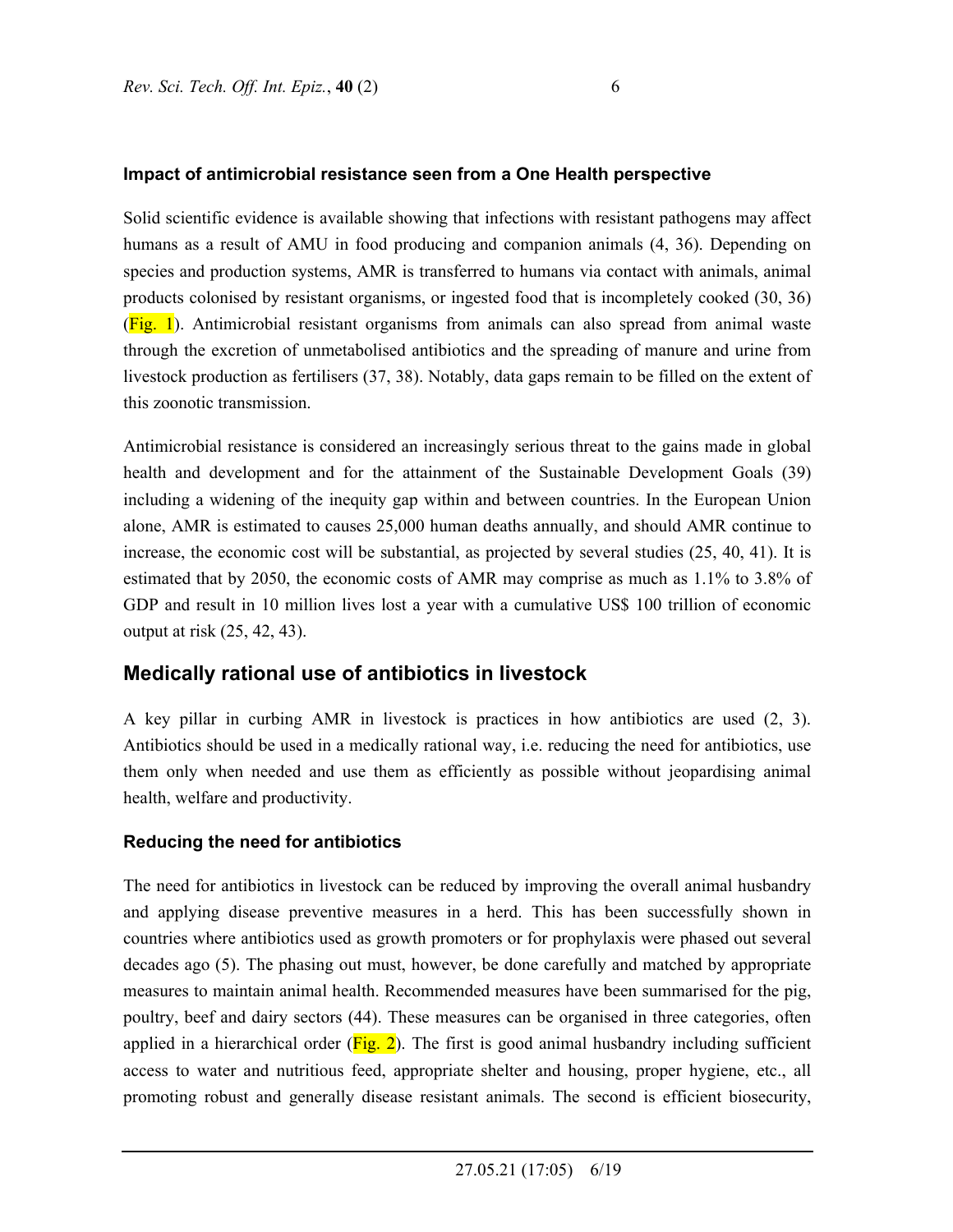### **Impact of antimicrobial resistance seen from a One Health perspective**

Solid scientific evidence is available showing that infections with resistant pathogens may affect humans as a result of AMU in food producing and companion animals (4, 36). Depending on species and production systems, AMR is transferred to humans via contact with animals, animal products colonised by resistant organisms, or ingested food that is incompletely cooked (30, 36)  $(Fig. 1)$ . Antimicrobial resistant organisms from animals can also spread from animal waste through the excretion of unmetabolised antibiotics and the spreading of manure and urine from livestock production as fertilisers (37, 38). Notably, data gaps remain to be filled on the extent of this zoonotic transmission.

Antimicrobial resistance is considered an increasingly serious threat to the gains made in global health and development and for the attainment of the Sustainable Development Goals (39) including a widening of the inequity gap within and between countries. In the European Union alone, AMR is estimated to causes 25,000 human deaths annually, and should AMR continue to increase, the economic cost will be substantial, as projected by several studies (25, 40, 41). It is estimated that by 2050, the economic costs of AMR may comprise as much as 1.1% to 3.8% of GDP and result in 10 million lives lost a year with a cumulative US\$ 100 trillion of economic output at risk (25, 42, 43).

## **Medically rational use of antibiotics in livestock**

A key pillar in curbing AMR in livestock is practices in how antibiotics are used (2, 3). Antibiotics should be used in a medically rational way, i.e. reducing the need for antibiotics, use them only when needed and use them as efficiently as possible without jeopardising animal health, welfare and productivity.

## **Reducing the need for antibiotics**

The need for antibiotics in livestock can be reduced by improving the overall animal husbandry and applying disease preventive measures in a herd. This has been successfully shown in countries where antibiotics used as growth promoters or for prophylaxis were phased out several decades ago (5). The phasing out must, however, be done carefully and matched by appropriate measures to maintain animal health. Recommended measures have been summarised for the pig, poultry, beef and dairy sectors (44). These measures can be organised in three categories, often applied in a hierarchical order  $(Fig. 2)$ . The first is good animal husbandry including sufficient access to water and nutritious feed, appropriate shelter and housing, proper hygiene, etc., all promoting robust and generally disease resistant animals. The second is efficient biosecurity,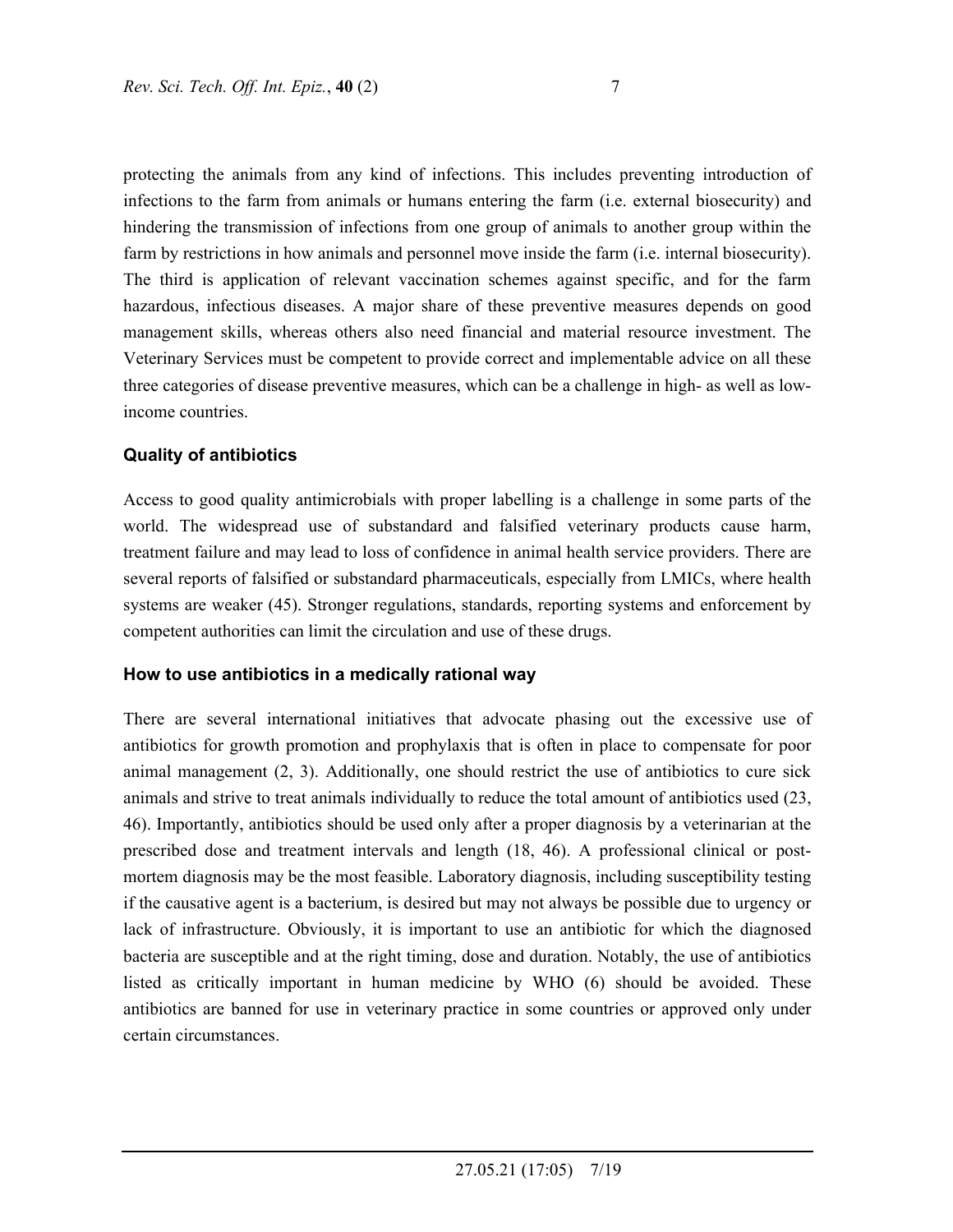protecting the animals from any kind of infections. This includes preventing introduction of infections to the farm from animals or humans entering the farm (i.e. external biosecurity) and hindering the transmission of infections from one group of animals to another group within the farm by restrictions in how animals and personnel move inside the farm (i.e. internal biosecurity). The third is application of relevant vaccination schemes against specific, and for the farm hazardous, infectious diseases. A major share of these preventive measures depends on good management skills, whereas others also need financial and material resource investment. The Veterinary Services must be competent to provide correct and implementable advice on all these three categories of disease preventive measures, which can be a challenge in high- as well as lowincome countries.

## **Quality of antibiotics**

Access to good quality antimicrobials with proper labelling is a challenge in some parts of the world. The widespread use of substandard and falsified veterinary products cause harm, treatment failure and may lead to loss of confidence in animal health service providers. There are several reports of falsified or substandard pharmaceuticals, especially from LMICs, where health systems are weaker (45). Stronger regulations, standards, reporting systems and enforcement by competent authorities can limit the circulation and use of these drugs.

#### **How to use antibiotics in a medically rational way**

There are several international initiatives that advocate phasing out the excessive use of antibiotics for growth promotion and prophylaxis that is often in place to compensate for poor animal management (2, 3). Additionally, one should restrict the use of antibiotics to cure sick animals and strive to treat animals individually to reduce the total amount of antibiotics used (23, 46). Importantly, antibiotics should be used only after a proper diagnosis by a veterinarian at the prescribed dose and treatment intervals and length (18, 46). A professional clinical or postmortem diagnosis may be the most feasible. Laboratory diagnosis, including susceptibility testing if the causative agent is a bacterium, is desired but may not always be possible due to urgency or lack of infrastructure. Obviously, it is important to use an antibiotic for which the diagnosed bacteria are susceptible and at the right timing, dose and duration. Notably, the use of antibiotics listed as critically important in human medicine by WHO (6) should be avoided. These antibiotics are banned for use in veterinary practice in some countries or approved only under certain circumstances.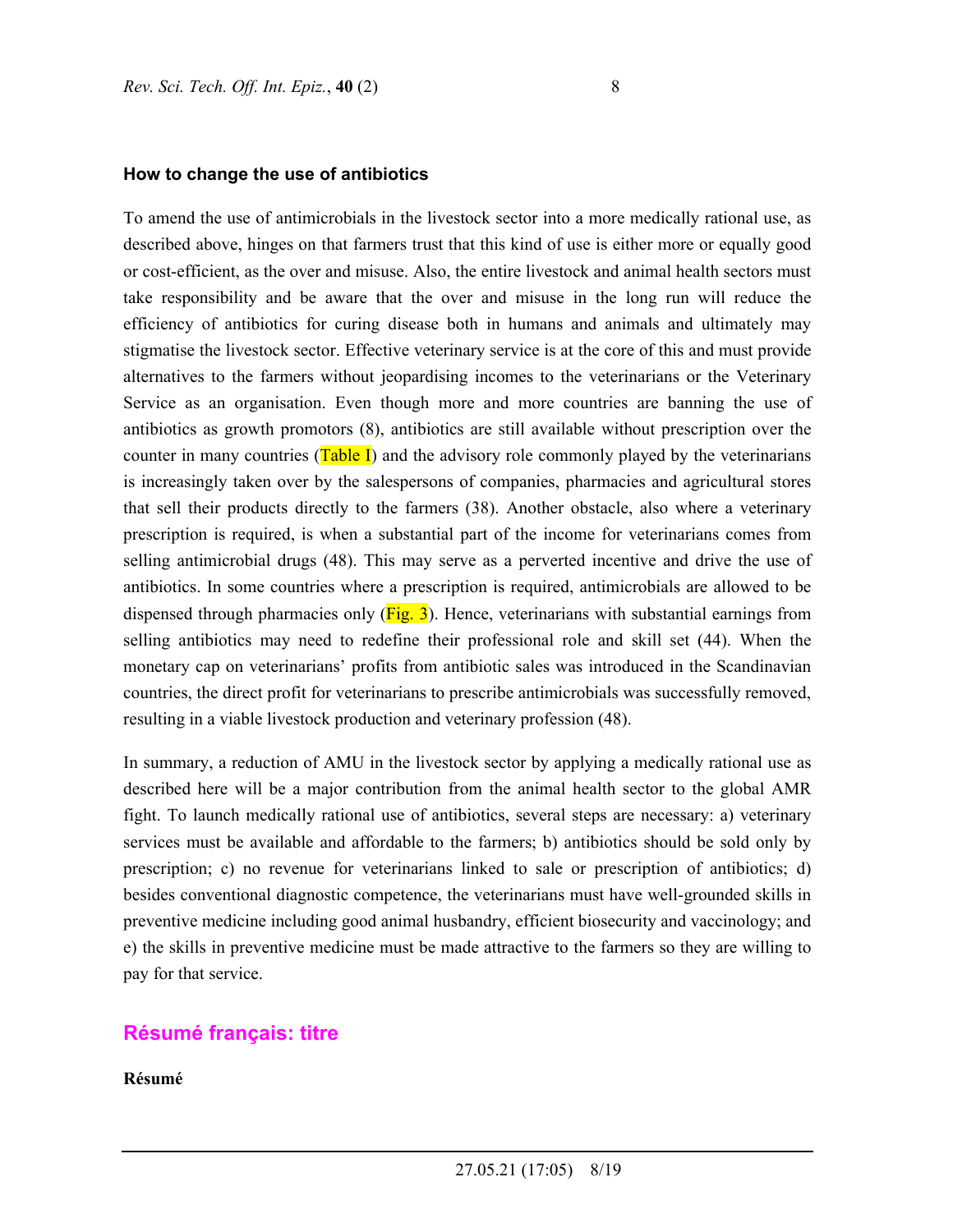#### **How to change the use of antibiotics**

To amend the use of antimicrobials in the livestock sector into a more medically rational use, as described above, hinges on that farmers trust that this kind of use is either more or equally good or cost-efficient, as the over and misuse. Also, the entire livestock and animal health sectors must take responsibility and be aware that the over and misuse in the long run will reduce the efficiency of antibiotics for curing disease both in humans and animals and ultimately may stigmatise the livestock sector. Effective veterinary service is at the core of this and must provide alternatives to the farmers without jeopardising incomes to the veterinarians or the Veterinary Service as an organisation. Even though more and more countries are banning the use of antibiotics as growth promotors (8), antibiotics are still available without prescription over the counter in many countries  $(Table I)$  and the advisory role commonly played by the veterinarians is increasingly taken over by the salespersons of companies, pharmacies and agricultural stores that sell their products directly to the farmers (38). Another obstacle, also where a veterinary prescription is required, is when a substantial part of the income for veterinarians comes from selling antimicrobial drugs (48). This may serve as a perverted incentive and drive the use of antibiotics. In some countries where a prescription is required, antimicrobials are allowed to be dispensed through pharmacies only  $(Fig. 3)$ . Hence, veterinarians with substantial earnings from selling antibiotics may need to redefine their professional role and skill set (44). When the monetary cap on veterinarians' profits from antibiotic sales was introduced in the Scandinavian countries, the direct profit for veterinarians to prescribe antimicrobials was successfully removed, resulting in a viable livestock production and veterinary profession (48).

In summary, a reduction of AMU in the livestock sector by applying a medically rational use as described here will be a major contribution from the animal health sector to the global AMR fight. To launch medically rational use of antibiotics, several steps are necessary: a) veterinary services must be available and affordable to the farmers; b) antibiotics should be sold only by prescription; c) no revenue for veterinarians linked to sale or prescription of antibiotics; d) besides conventional diagnostic competence, the veterinarians must have well-grounded skills in preventive medicine including good animal husbandry, efficient biosecurity and vaccinology; and e) the skills in preventive medicine must be made attractive to the farmers so they are willing to pay for that service.

## **Résumé français: titre**

**Résumé**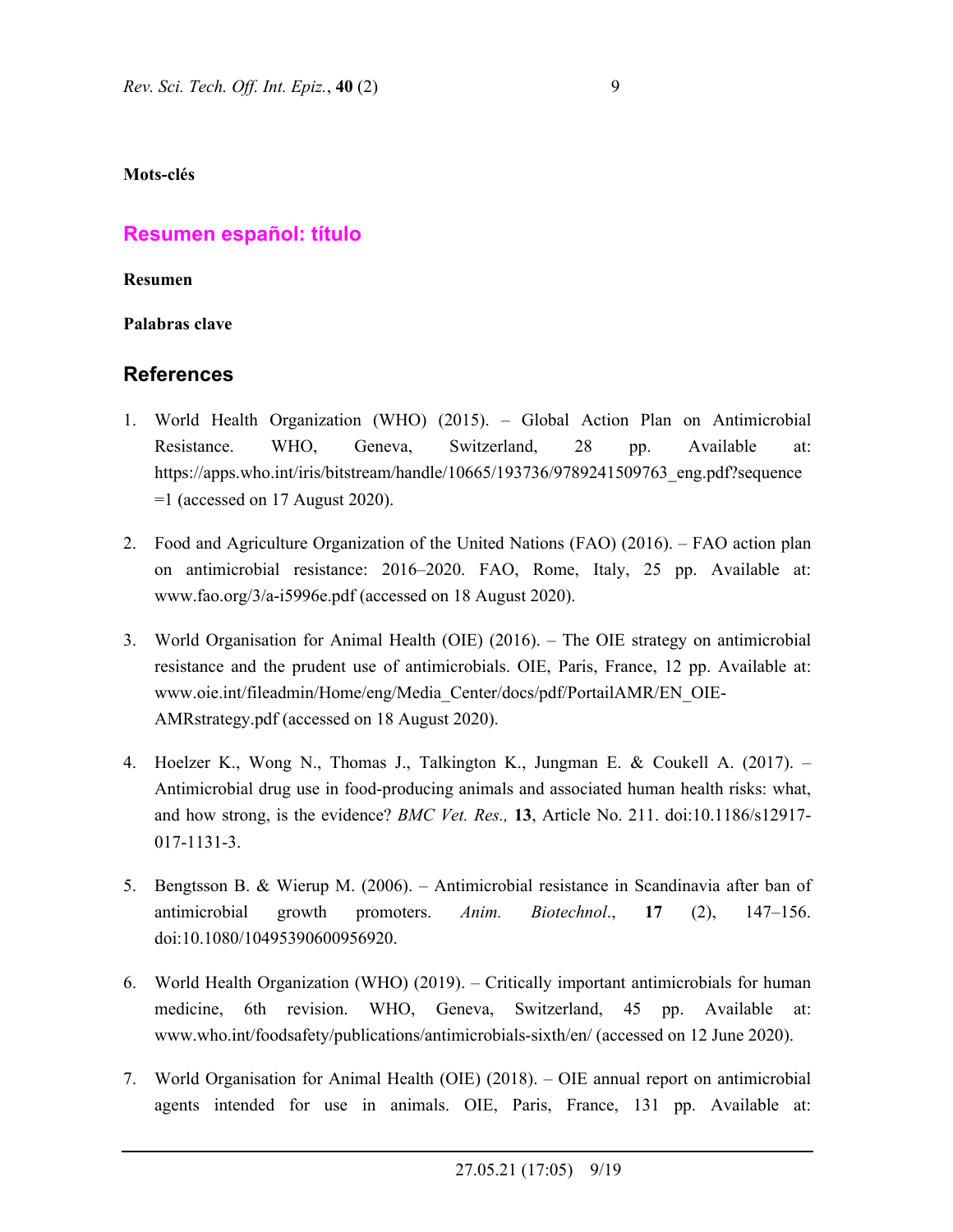**Mots-clés** 

# **Resumen español: título**

**Resumen** 

**Palabras clave** 

# **References**

- 1. World Health Organization (WHO) (2015). Global Action Plan on Antimicrobial Resistance. WHO, Geneva, Switzerland, 28 pp. Available at: https://apps.who.int/iris/bitstream/handle/10665/193736/9789241509763\_eng.pdf?sequence  $=1$  (accessed on 17 August 2020).
- 2. Food and Agriculture Organization of the United Nations (FAO) (2016). FAO action plan on antimicrobial resistance: 2016–2020. FAO, Rome, Italy, 25 pp. Available at: www.fao.org/3/a-i5996e.pdf (accessed on 18 August 2020).
- 3. World Organisation for Animal Health (OIE) (2016). The OIE strategy on antimicrobial resistance and the prudent use of antimicrobials. OIE, Paris, France, 12 pp. Available at: www.oie.int/fileadmin/Home/eng/Media\_Center/docs/pdf/PortailAMR/EN\_OIE-AMRstrategy.pdf (accessed on 18 August 2020).
- 4. Hoelzer K., Wong N., Thomas J., Talkington K., Jungman E. & Coukell A. (2017). Antimicrobial drug use in food-producing animals and associated human health risks: what, and how strong, is the evidence? *BMC Vet. Res.,* **13**, Article No. 211. doi:10.1186/s12917- 017-1131-3.
- 5. Bengtsson B. & Wierup M. (2006). Antimicrobial resistance in Scandinavia after ban of antimicrobial growth promoters. *Anim. Biotechnol*., **17** (2), 147–156. doi:10.1080/10495390600956920.
- 6. World Health Organization (WHO) (2019). Critically important antimicrobials for human medicine, 6th revision. WHO, Geneva, Switzerland, 45 pp. Available at: www.who.int/foodsafety/publications/antimicrobials-sixth/en/ (accessed on 12 June 2020).
- 7. World Organisation for Animal Health (OIE) (2018). OIE annual report on antimicrobial agents intended for use in animals. OIE, Paris, France, 131 pp. Available at: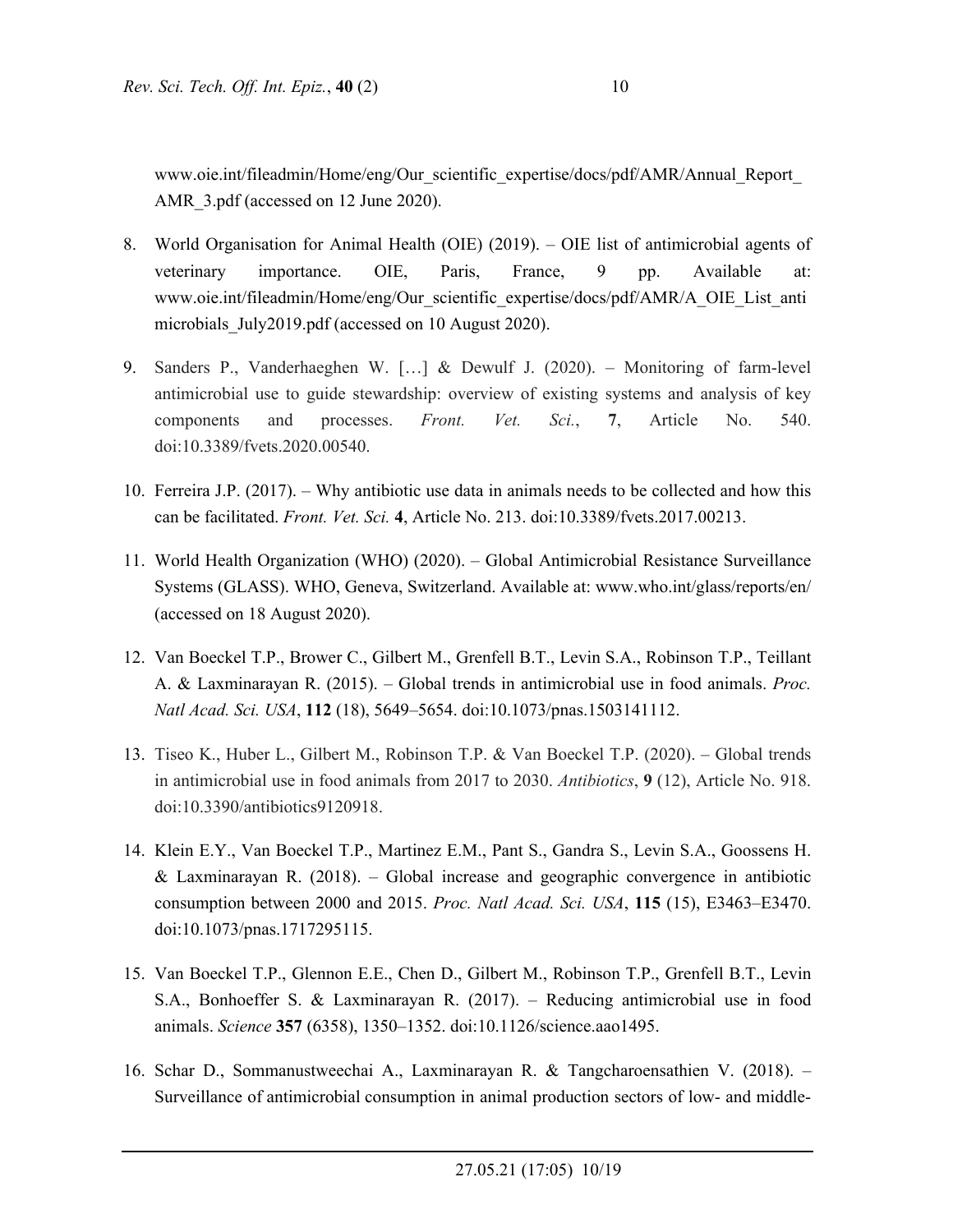www.oie.int/fileadmin/Home/eng/Our\_scientific\_expertise/docs/pdf/AMR/Annual\_Report\_ AMR 3.pdf (accessed on 12 June 2020).

- 8. World Organisation for Animal Health (OIE) (2019). OIE list of antimicrobial agents of veterinary importance. OIE, Paris, France, 9 pp. Available at: www.oie.int/fileadmin/Home/eng/Our\_scientific\_expertise/docs/pdf/AMR/A\_OIE\_List\_anti microbials July2019.pdf (accessed on 10 August 2020).
- 9. Sanders P., Vanderhaeghen W. […] & Dewulf J. (2020). Monitoring of farm-level antimicrobial use to guide stewardship: overview of existing systems and analysis of key components and processes. *Front. Vet. Sci.*, **7**, Article No. 540. doi:10.3389/fvets.2020.00540.
- 10. Ferreira J.P. (2017). Why antibiotic use data in animals needs to be collected and how this can be facilitated. *Front. Vet. Sci.* **4**, Article No. 213. doi:10.3389/fvets.2017.00213.
- 11. World Health Organization (WHO) (2020). Global Antimicrobial Resistance Surveillance Systems (GLASS). WHO, Geneva, Switzerland. Available at: www.who.int/glass/reports/en/ (accessed on 18 August 2020).
- 12. Van Boeckel T.P., Brower C., Gilbert M., Grenfell B.T., Levin S.A., Robinson T.P., Teillant A. & Laxminarayan R. (2015). – Global trends in antimicrobial use in food animals. *Proc. Natl Acad. Sci. USA*, **112** (18), 5649–5654. doi:10.1073/pnas.1503141112.
- 13. Tiseo K., Huber L., Gilbert M., Robinson T.P. & Van Boeckel T.P. (2020). Global trends in antimicrobial use in food animals from 2017 to 2030. *Antibiotics*, **9** (12), Article No. 918. doi:10.3390/antibiotics9120918.
- 14. Klein E.Y., Van Boeckel T.P., Martinez E.M., Pant S., Gandra S., Levin S.A., Goossens H. & Laxminarayan R. (2018). – Global increase and geographic convergence in antibiotic consumption between 2000 and 2015. *Proc. Natl Acad. Sci. USA*, **115** (15), E3463–E3470. doi:10.1073/pnas.1717295115.
- 15. Van Boeckel T.P., Glennon E.E., Chen D., Gilbert M., Robinson T.P., Grenfell B.T., Levin S.A., Bonhoeffer S. & Laxminarayan R. (2017). – Reducing antimicrobial use in food animals. *Science* **357** (6358), 1350–1352. doi:10.1126/science.aao1495.
- 16. Schar D., Sommanustweechai A., Laxminarayan R. & Tangcharoensathien V. (2018). Surveillance of antimicrobial consumption in animal production sectors of low- and middle-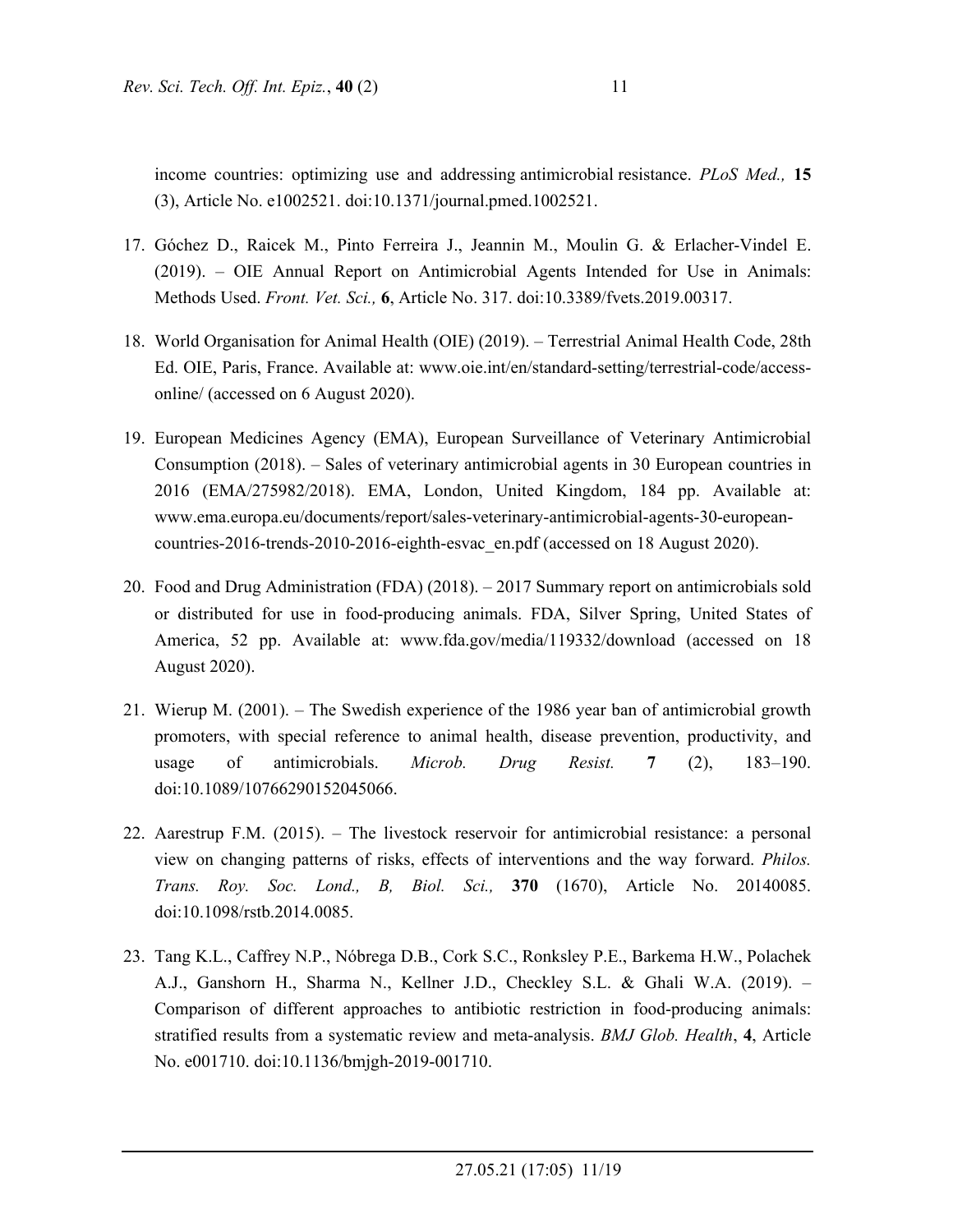income countries: optimizing use and addressing antimicrobial resistance. *PLoS Med.,* **15** (3), Article No. e1002521. doi:10.1371/journal.pmed.1002521.

- 17. Góchez D., Raicek M., Pinto Ferreira J., Jeannin M., Moulin G. & Erlacher-Vindel E. (2019). – OIE Annual Report on Antimicrobial Agents Intended for Use in Animals: Methods Used. *Front. Vet. Sci.,* **6**, Article No. 317. doi:10.3389/fvets.2019.00317.
- 18. World Organisation for Animal Health (OIE) (2019). Terrestrial Animal Health Code, 28th Ed. OIE, Paris, France. Available at: www.oie.int/en/standard-setting/terrestrial-code/accessonline/ (accessed on 6 August 2020).
- 19. European Medicines Agency (EMA), European Surveillance of Veterinary Antimicrobial Consumption (2018). – Sales of veterinary antimicrobial agents in 30 European countries in 2016 (EMA/275982/2018). EMA, London, United Kingdom, 184 pp. Available at: www.ema.europa.eu/documents/report/sales-veterinary-antimicrobial-agents-30-europeancountries-2016-trends-2010-2016-eighth-esvac\_en.pdf (accessed on 18 August 2020).
- 20. Food and Drug Administration (FDA) (2018). 2017 Summary report on antimicrobials sold or distributed for use in food-producing animals. FDA, Silver Spring, United States of America, 52 pp. Available at: www.fda.gov/media/119332/download (accessed on 18 August 2020).
- 21. Wierup M. (2001). The Swedish experience of the 1986 year ban of antimicrobial growth promoters, with special reference to animal health, disease prevention, productivity, and usage of antimicrobials. *Microb. Drug Resist.* **7** (2), 183–190. doi:10.1089/10766290152045066.
- 22. Aarestrup F.M. (2015). The livestock reservoir for antimicrobial resistance: a personal view on changing patterns of risks, effects of interventions and the way forward. *Philos. Trans. Roy. Soc. Lond., B, Biol. Sci.,* **370** (1670), Article No. 20140085. doi:10.1098/rstb.2014.0085.
- 23. Tang K.L., Caffrey N.P., Nóbrega D.B., Cork S.C., Ronksley P.E., Barkema H.W., Polachek A.J., Ganshorn H., Sharma N., Kellner J.D., Checkley S.L. & Ghali W.A. (2019). – Comparison of different approaches to antibiotic restriction in food-producing animals: stratified results from a systematic review and meta-analysis. *BMJ Glob. Health*, **4**, Article No. e001710. doi:10.1136/bmjgh-2019-001710.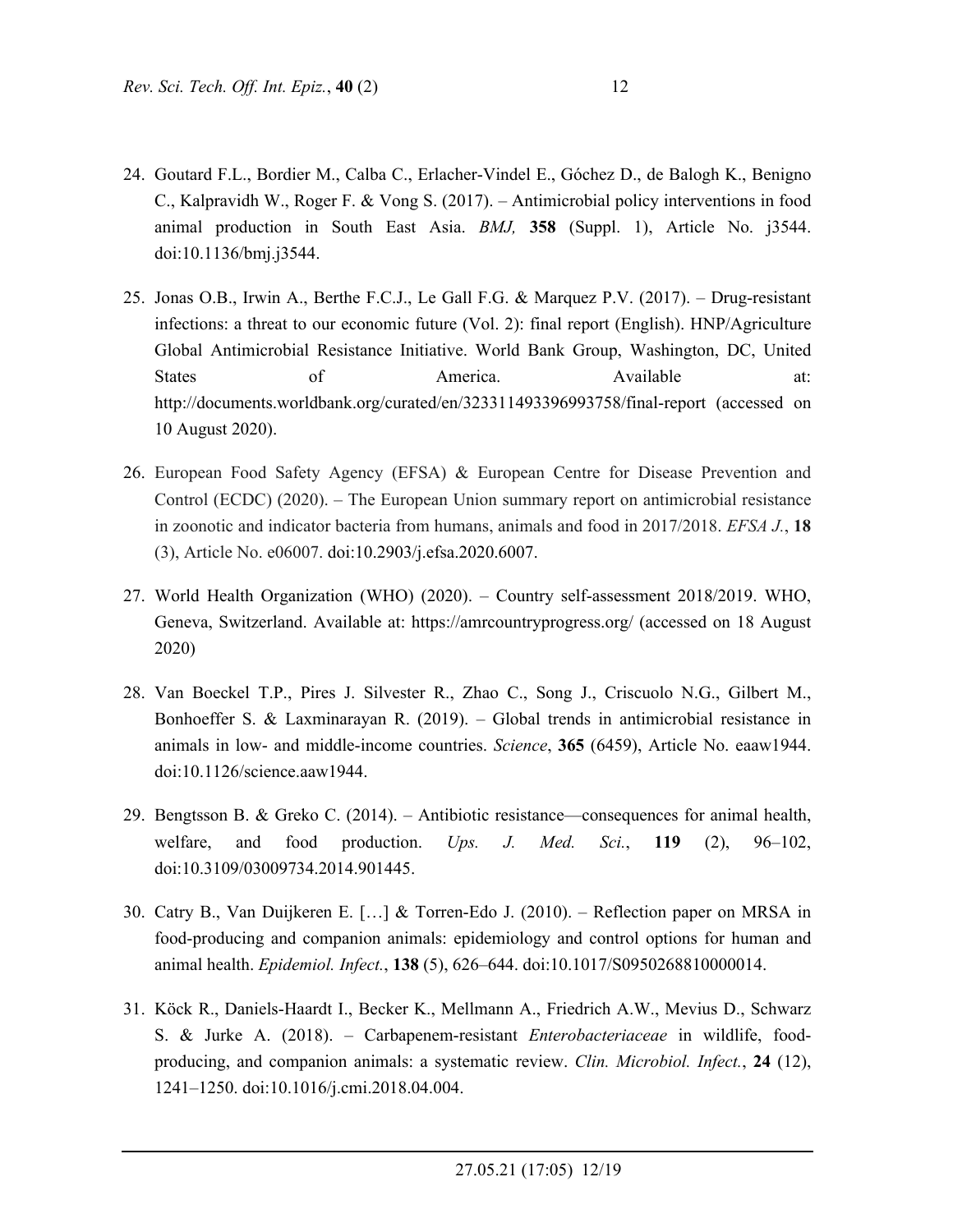- 24. Goutard F.L., Bordier M., Calba C., Erlacher-Vindel E., Góchez D., de Balogh K., Benigno C., Kalpravidh W., Roger F. & Vong S. (2017). – Antimicrobial policy interventions in food animal production in South East Asia. *BMJ,* **358** (Suppl. 1), Article No. j3544. doi:10.1136/bmj.j3544.
- 25. Jonas O.B., Irwin A., Berthe F.C.J., Le Gall F.G. & Marquez P.V. (2017). Drug-resistant infections: a threat to our economic future (Vol. 2): final report (English). HNP/Agriculture Global Antimicrobial Resistance Initiative. World Bank Group, Washington, DC, United States of America. Available at: http://documents.worldbank.org/curated/en/323311493396993758/final-report (accessed on 10 August 2020).
- 26. European Food Safety Agency (EFSA) & European Centre for Disease Prevention and Control (ECDC) (2020). – The European Union summary report on antimicrobial resistance in zoonotic and indicator bacteria from humans, animals and food in 2017/2018. *EFSA J.*, **18** (3), Article No. e06007. doi:10.2903/j.efsa.2020.6007.
- 27. World Health Organization (WHO) (2020). Country self-assessment 2018/2019. WHO, Geneva, Switzerland. Available at: https://amrcountryprogress.org/ (accessed on 18 August 2020)
- 28. Van Boeckel T.P., Pires J. Silvester R., Zhao C., Song J., Criscuolo N.G., Gilbert M., Bonhoeffer S. & Laxminarayan R. (2019). – Global trends in antimicrobial resistance in animals in low- and middle-income countries. *Science*, **365** (6459), Article No. eaaw1944. doi:10.1126/science.aaw1944.
- 29. Bengtsson B. & Greko C. (2014). Antibiotic resistance—consequences for animal health, welfare, and food production. *Ups. J. Med. Sci.*, **119** (2), 96–102, doi:10.3109/03009734.2014.901445.
- 30. Catry B., Van Duijkeren E. […] & Torren-Edo J. (2010). Reflection paper on MRSA in food-producing and companion animals: epidemiology and control options for human and animal health. *Epidemiol. Infect.*, **138** (5), 626–644. doi:10.1017/S0950268810000014.
- 31. Köck R., Daniels-Haardt I., Becker K., Mellmann A., Friedrich A.W., Mevius D., Schwarz S. & Jurke A. (2018). – Carbapenem-resistant *Enterobacteriaceae* in wildlife, foodproducing, and companion animals: a systematic review. *Clin. Microbiol. Infect.*, **24** (12), 1241–1250. doi:10.1016/j.cmi.2018.04.004.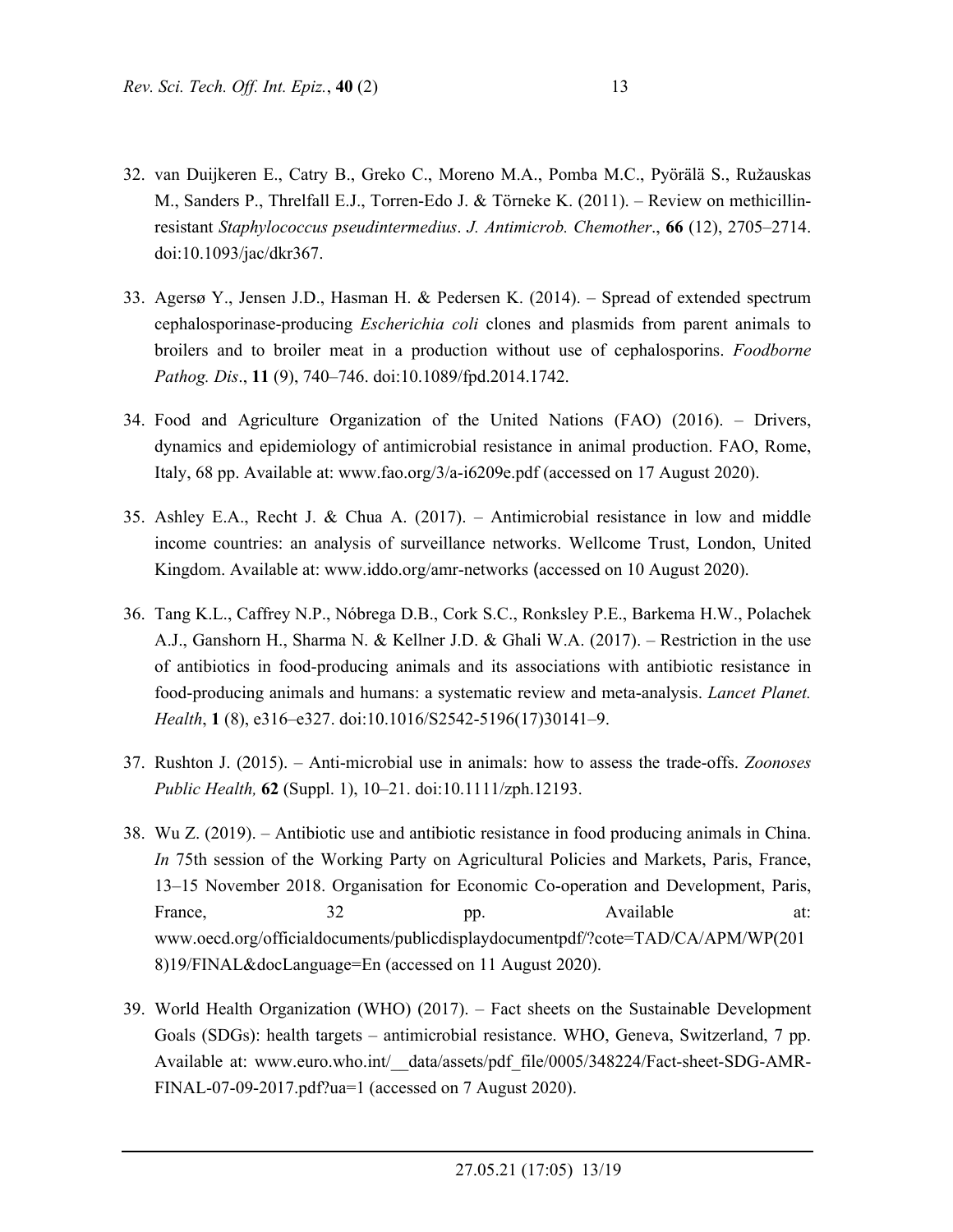- 32. van Duijkeren E., Catry B., Greko C., Moreno M.A., Pomba M.C., Pyörälä S., Ružauskas M., Sanders P., Threlfall E.J., Torren-Edo J. & Törneke K. (2011). – Review on methicillinresistant *Staphylococcus pseudintermedius*. *J. Antimicrob. Chemother*., **66** (12), 2705–2714. doi:10.1093/jac/dkr367.
- 33. Agersø Y., Jensen J.D., Hasman H. & Pedersen K. (2014). Spread of extended spectrum cephalosporinase-producing *Escherichia coli* clones and plasmids from parent animals to broilers and to broiler meat in a production without use of cephalosporins. *Foodborne Pathog. Dis*., **11** (9), 740–746. doi:10.1089/fpd.2014.1742.
- 34. Food and Agriculture Organization of the United Nations (FAO) (2016). Drivers, dynamics and epidemiology of antimicrobial resistance in animal production. FAO, Rome, Italy, 68 pp. Available at: www.fao.org/3/a-i6209e.pdf (accessed on 17 August 2020).
- 35. Ashley E.A., Recht J. & Chua A. (2017). Antimicrobial resistance in low and middle income countries: an analysis of surveillance networks. Wellcome Trust, London, United Kingdom. Available at: www.iddo.org/amr-networks (accessed on 10 August 2020).
- 36. Tang K.L., Caffrey N.P., Nóbrega D.B., Cork S.C., Ronksley P.E., Barkema H.W., Polachek A.J., Ganshorn H., Sharma N. & Kellner J.D. & Ghali W.A. (2017). – Restriction in the use of antibiotics in food-producing animals and its associations with antibiotic resistance in food-producing animals and humans: a systematic review and meta-analysis. *Lancet Planet. Health*, **1** (8), e316–e327. doi:10.1016/S2542-5196(17)30141–9.
- 37. Rushton J. (2015). Anti-microbial use in animals: how to assess the trade-offs. *Zoonoses Public Health,* **62** (Suppl. 1), 10–21. doi:10.1111/zph.12193.
- 38. Wu Z. (2019). Antibiotic use and antibiotic resistance in food producing animals in China. *In* 75th session of the Working Party on Agricultural Policies and Markets, Paris, France, 13–15 November 2018. Organisation for Economic Co-operation and Development, Paris, France, 32 bp. Available at: www.oecd.org/officialdocuments/publicdisplaydocumentpdf/?cote=TAD/CA/APM/WP(201 8)19/FINAL&docLanguage=En (accessed on 11 August 2020).
- 39. World Health Organization (WHO) (2017). Fact sheets on the Sustainable Development Goals (SDGs): health targets – antimicrobial resistance. WHO, Geneva, Switzerland, 7 pp. Available at: www.euro.who.int/ data/assets/pdf file/0005/348224/Fact-sheet-SDG-AMR-FINAL-07-09-2017.pdf?ua=1 (accessed on 7 August 2020).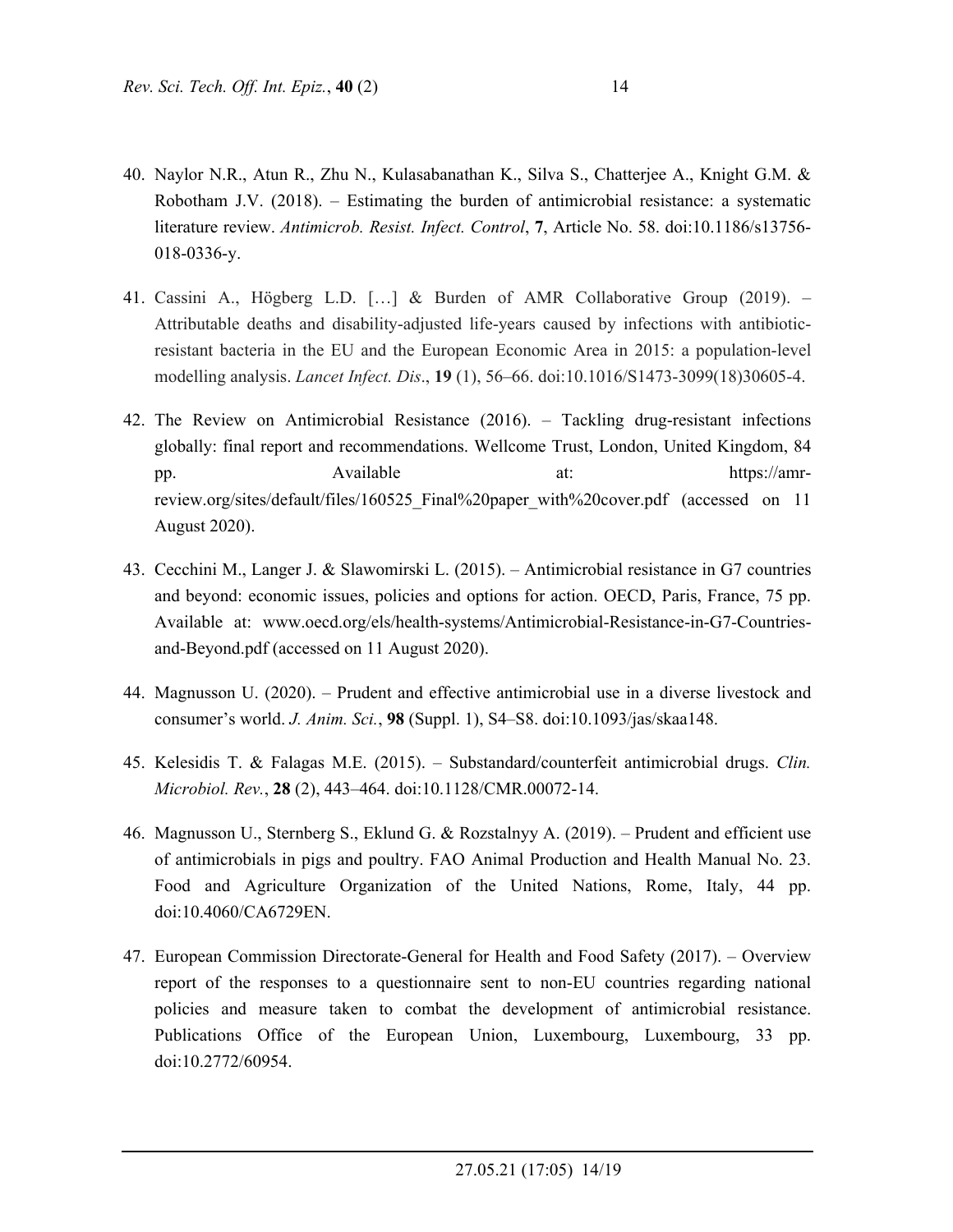- 40. Naylor N.R., Atun R., Zhu N., Kulasabanathan K., Silva S., Chatterjee A., Knight G.M. & Robotham J.V. (2018). – Estimating the burden of antimicrobial resistance: a systematic literature review. *Antimicrob. Resist. Infect. Control*, **7**, Article No. 58. doi:10.1186/s13756- 018-0336-y.
- 41. Cassini A., Högberg L.D. […] & Burden of AMR Collaborative Group (2019). Attributable deaths and disability-adjusted life-years caused by infections with antibioticresistant bacteria in the EU and the European Economic Area in 2015: a population-level modelling analysis. *Lancet Infect. Dis*., **19** (1), 56–66. doi:10.1016/S1473-3099(18)30605-4.
- 42. The Review on Antimicrobial Resistance (2016). Tackling drug-resistant infections globally: final report and recommendations. Wellcome Trust, London, United Kingdom, 84 pp. Available at: https://amrreview.org/sites/default/files/160525\_Final%20paper\_with%20cover.pdf (accessed on 11 August 2020).
- 43. Cecchini M., Langer J. & Slawomirski L. (2015). Antimicrobial resistance in G7 countries and beyond: economic issues, policies and options for action. OECD, Paris, France, 75 pp. Available at: www.oecd.org/els/health-systems/Antimicrobial-Resistance-in-G7-Countriesand-Beyond.pdf (accessed on 11 August 2020).
- 44. Magnusson U. (2020). Prudent and effective antimicrobial use in a diverse livestock and consumer's world. *J. Anim. Sci.*, **98** (Suppl. 1), S4–S8. doi:10.1093/jas/skaa148.
- 45. Kelesidis T. & Falagas M.E. (2015). Substandard/counterfeit antimicrobial drugs. *Clin. Microbiol. Rev.*, **28** (2), 443–464. doi:10.1128/CMR.00072-14.
- 46. Magnusson U., Sternberg S., Eklund G. & Rozstalnyy A. (2019). Prudent and efficient use of antimicrobials in pigs and poultry. FAO Animal Production and Health Manual No. 23. Food and Agriculture Organization of the United Nations, Rome, Italy, 44 pp. doi:10.4060/CA6729EN.
- 47. European Commission Directorate-General for Health and Food Safety (2017). Overview report of the responses to a questionnaire sent to non-EU countries regarding national policies and measure taken to combat the development of antimicrobial resistance. Publications Office of the European Union, Luxembourg, Luxembourg, 33 pp. doi:10.2772/60954.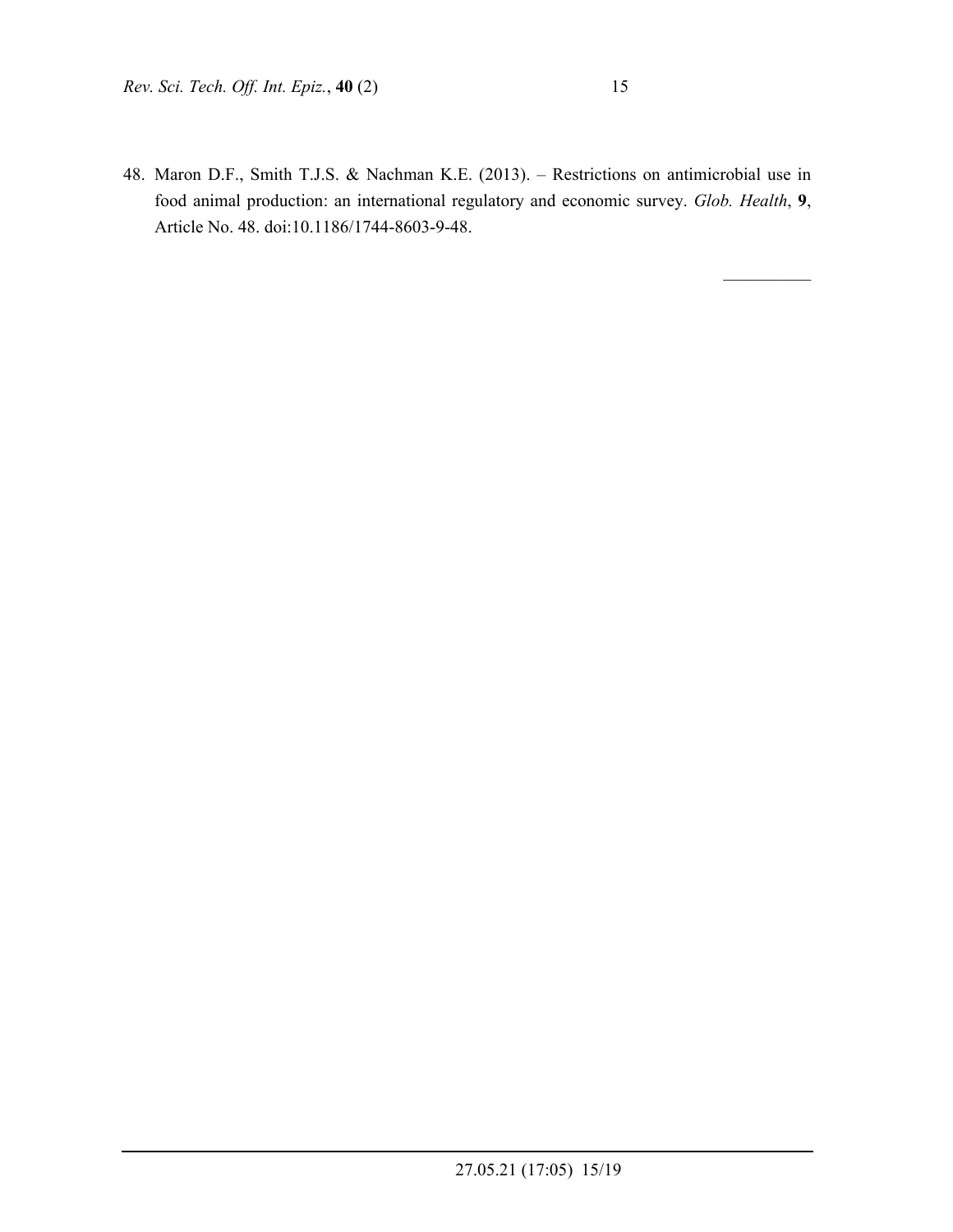48. Maron D.F., Smith T.J.S. & Nachman K.E. (2013). – Restrictions on antimicrobial use in food animal production: an international regulatory and economic survey. *Glob. Health*, **9**, Article No. 48. doi:10.1186/1744-8603-9-48.

 $\mathcal{L}_\text{max}$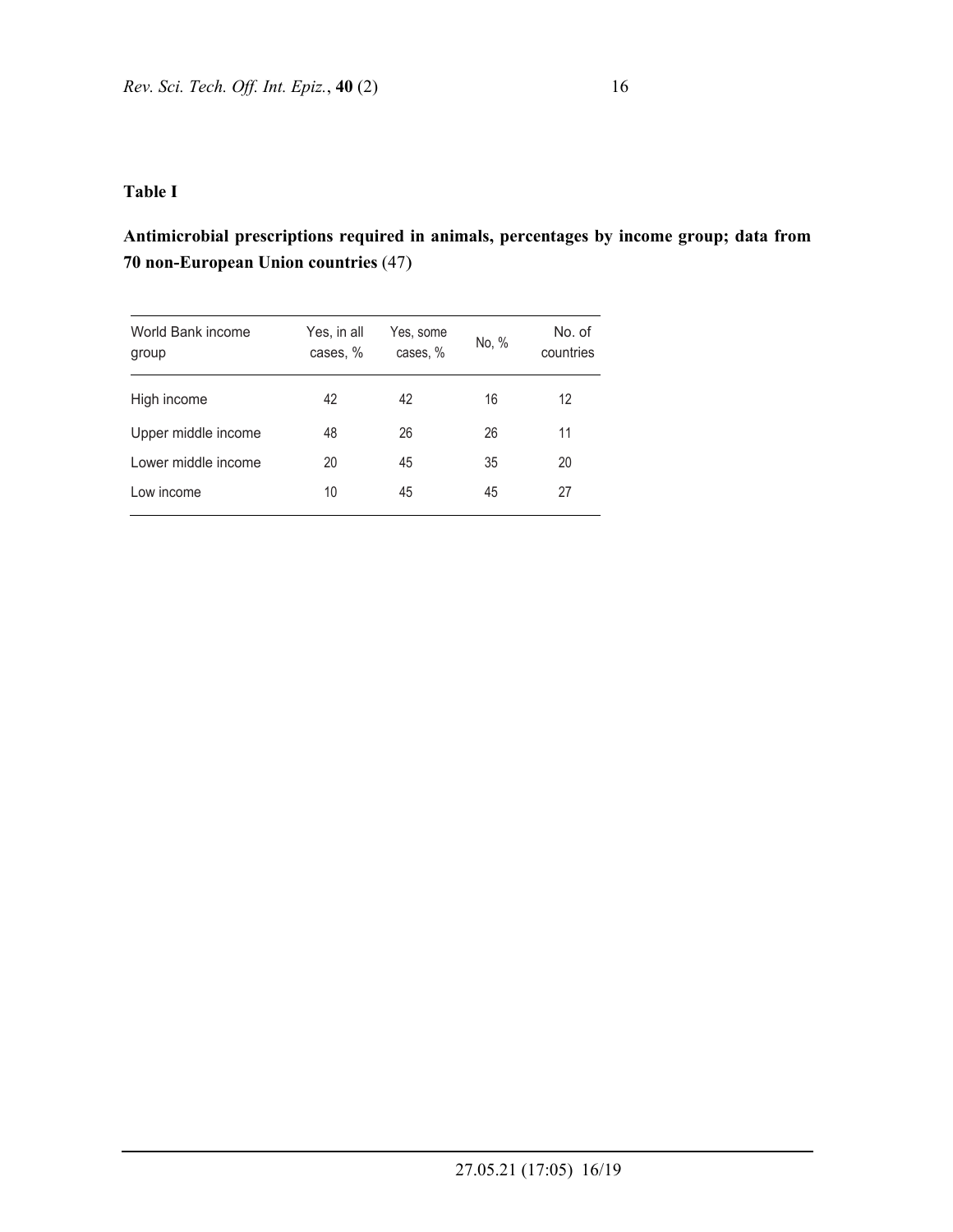## **Table I**

# **Antimicrobial prescriptions required in animals, percentages by income group; data from 70 non-European Union countries** (47)

| World Bank income<br>group | Yes, in all<br>cases, % | Yes, some<br>cases, % | No, % | No. of<br>countries |
|----------------------------|-------------------------|-----------------------|-------|---------------------|
| High income                | 42                      | 42                    | 16    | 12                  |
| Upper middle income        | 48                      | 26                    | 26    | 11                  |
| Lower middle income        | 20                      | 45                    | 35    | 20                  |
| Low income                 | 10                      | 45                    | 45    | 27                  |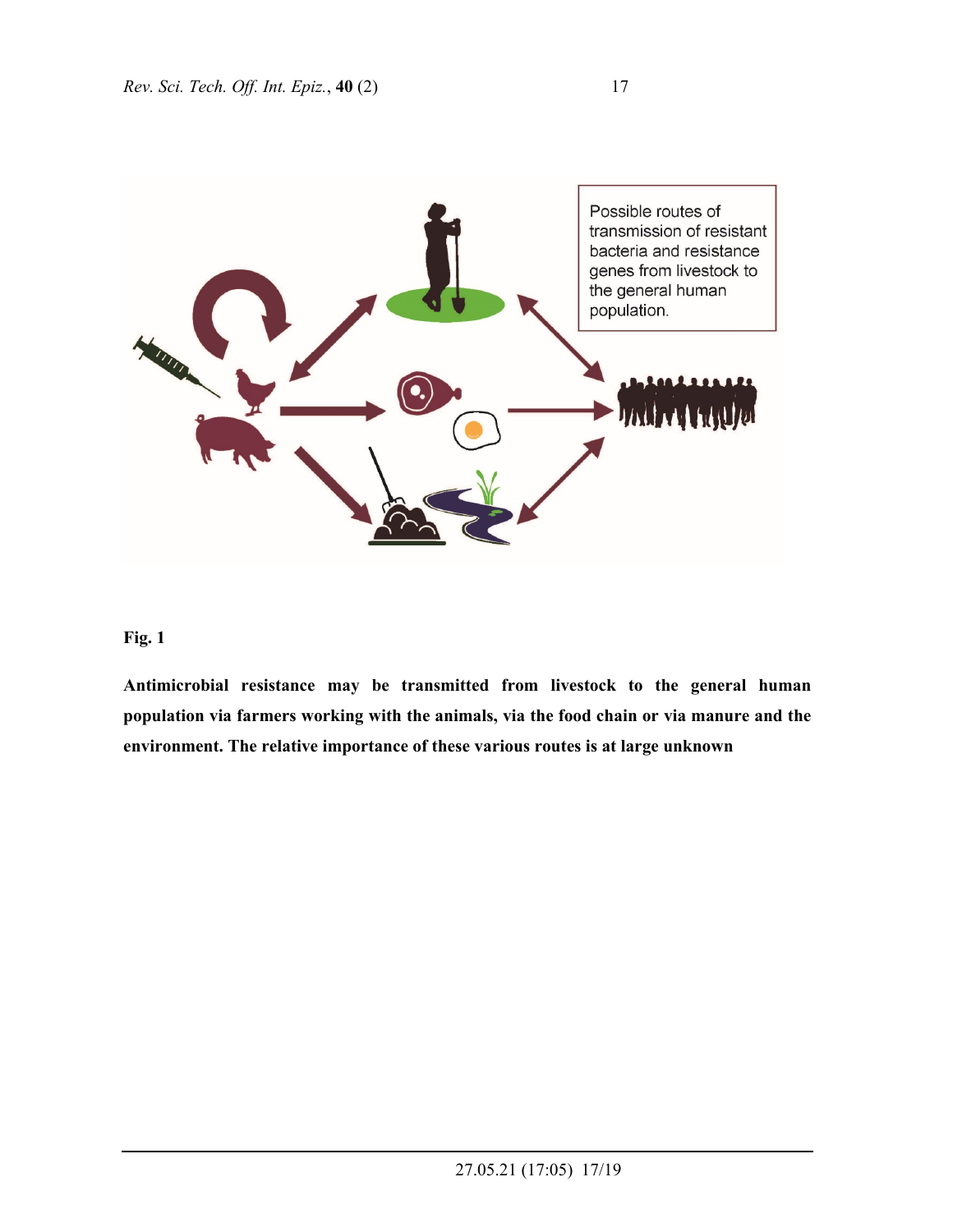

# **Fig. 1**

**Antimicrobial resistance may be transmitted from livestock to the general human population via farmers working with the animals, via the food chain or via manure and the environment. The relative importance of these various routes is at large unknown**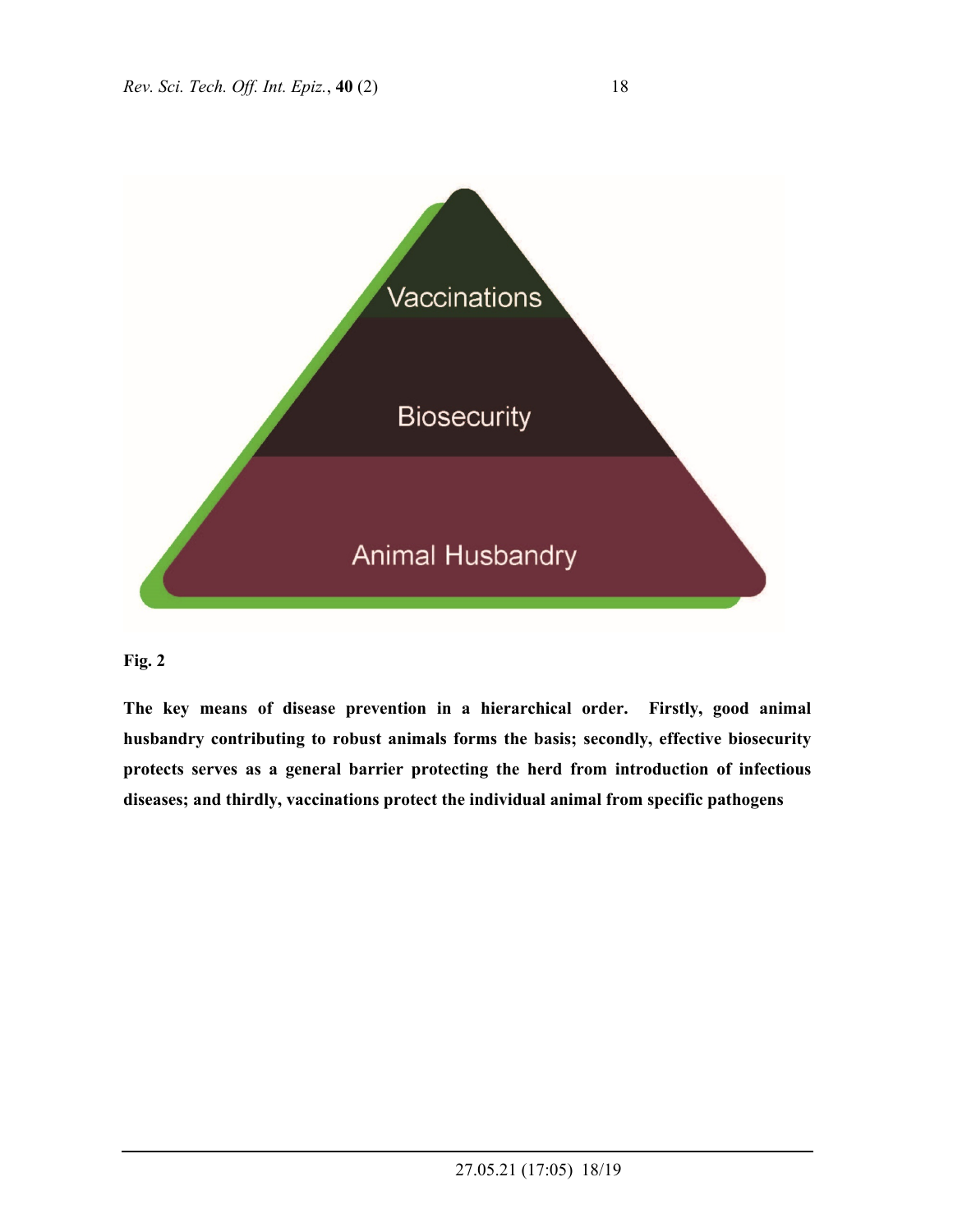

### **Fig. 2**

**The key means of disease prevention in a hierarchical order. Firstly, good animal husbandry contributing to robust animals forms the basis; secondly, effective biosecurity protects serves as a general barrier protecting the herd from introduction of infectious diseases; and thirdly, vaccinations protect the individual animal from specific pathogens**